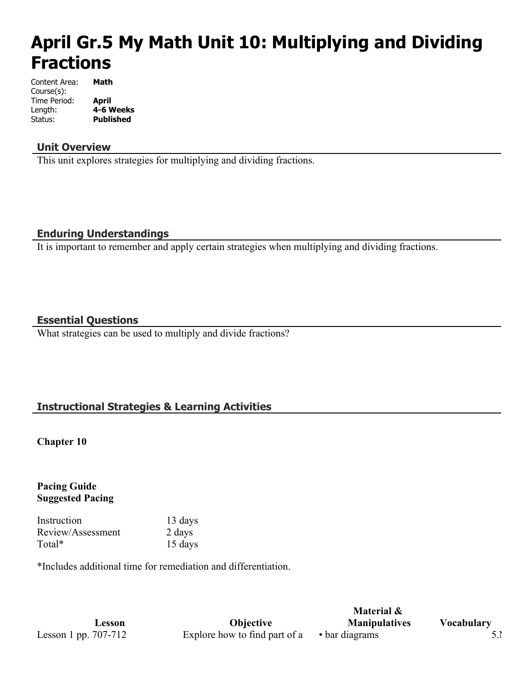# **April Gr.5 My Math Unit 10: Multiplying and Dividing Fractions**

| Content Area: | Math             |
|---------------|------------------|
| Course(s):    |                  |
| Time Period:  | April            |
| Length:       | 4-6 Weeks        |
| Status:       | <b>Published</b> |

## **Unit Overview**

This unit explores strategies for multiplying and dividing fractions.

## **Enduring Understandings**

It is important to remember and apply certain strategies when multiplying and dividing fractions.

## **Essential Questions**

What strategies can be used to multiply and divide fractions?

# **Instructional Strategies & Learning Activities**

**Chapter 10**

**Pacing Guide Suggested Pacing**

Instruction 13 days Review/Assessment 2 days Total\* 15 days

\*Includes additional time for remediation and differentiation.

**Lesson Objective** Lesson 1 pp. 707-712 Explore how to find part of a  $\bullet$  bar diagrams 5.

**Material & Manipulatives Vocabulary**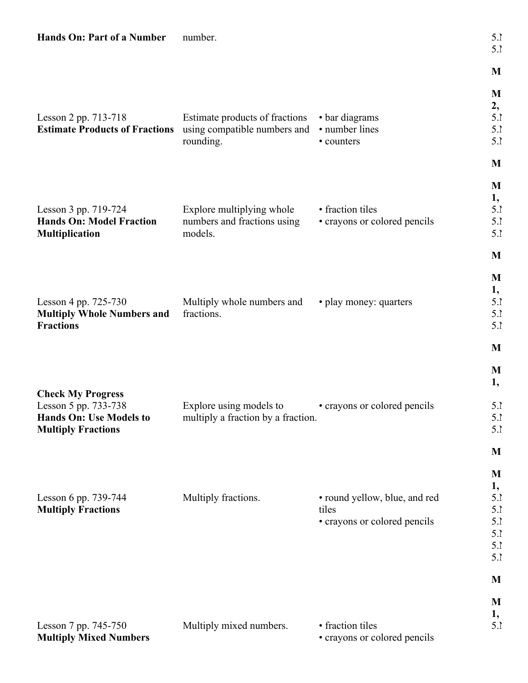| Hands On: Part of a Number                                  | number.                            |                               | 5.1<br>5.1 |
|-------------------------------------------------------------|------------------------------------|-------------------------------|------------|
|                                                             |                                    |                               | M          |
|                                                             |                                    |                               | M          |
|                                                             |                                    |                               | 2,         |
| Lesson 2 pp. 713-718                                        | Estimate products of fractions     | • bar diagrams                | 5.1        |
| Estimate Products of Fractions using compatible numbers and |                                    | • number lines                | 5.1        |
|                                                             | rounding.                          | • counters                    | 5.1        |
|                                                             |                                    |                               | M          |
|                                                             |                                    |                               | M          |
|                                                             |                                    |                               | 1,         |
| Lesson 3 pp. 719-724                                        | Explore multiplying whole          | • fraction tiles              | 5.1        |
| <b>Hands On: Model Fraction</b>                             | numbers and fractions using        | • crayons or colored pencils  | 5.1        |
| <b>Multiplication</b>                                       | models.                            |                               | 5.1        |
|                                                             |                                    |                               | M          |
|                                                             |                                    |                               | M          |
|                                                             |                                    |                               | 1,         |
| Lesson 4 pp. 725-730                                        | Multiply whole numbers and         | • play money: quarters        | 5.1        |
| <b>Multiply Whole Numbers and</b>                           | fractions.                         |                               | 5.1        |
| <b>Fractions</b>                                            |                                    |                               | 5.1        |
|                                                             |                                    |                               | M          |
|                                                             |                                    |                               | M          |
|                                                             |                                    |                               | 1,         |
| <b>Check My Progress</b><br>Lesson 5 pp. 733-738            | Explore using models to            | • crayons or colored pencils  | 5.1        |
| <b>Hands On: Use Models to</b>                              | multiply a fraction by a fraction. |                               | 5.1        |
| <b>Multiply Fractions</b>                                   |                                    |                               | 5.1        |
|                                                             |                                    |                               | M          |
|                                                             |                                    |                               | M          |
|                                                             |                                    |                               | 1,         |
| Lesson 6 pp. 739-744                                        | Multiply fractions.                | • round yellow, blue, and red | 5.1        |
| <b>Multiply Fractions</b>                                   |                                    | tiles                         | 5.1        |
|                                                             |                                    | • crayons or colored pencils  | 5.1        |
|                                                             |                                    |                               | 5.1        |
|                                                             |                                    |                               | 5.1        |
|                                                             |                                    |                               | 5.1        |
|                                                             |                                    |                               | M          |
|                                                             |                                    |                               | M          |
|                                                             |                                    |                               | 1,         |
| Lesson 7 pp. 745-750                                        | Multiply mixed numbers.            | • fraction tiles              | 5.1        |
| <b>Multiply Mixed Numbers</b>                               |                                    | • crayons or colored pencils  |            |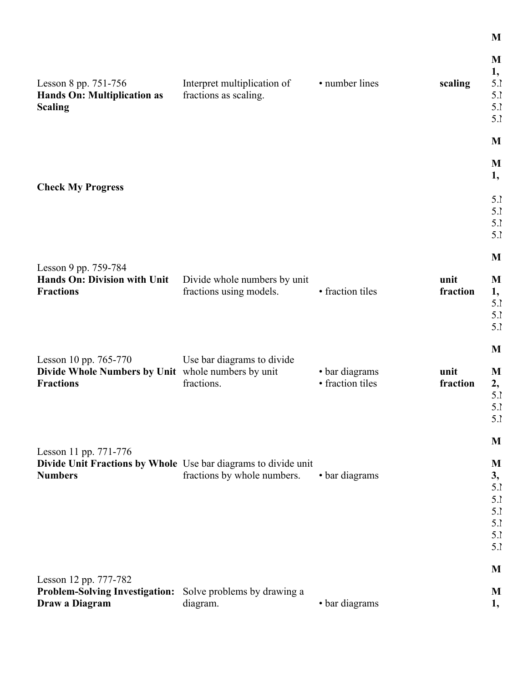|                                                                                         |                              |                  |          | M            |
|-----------------------------------------------------------------------------------------|------------------------------|------------------|----------|--------------|
|                                                                                         |                              |                  |          | 1,           |
| Lesson 8 pp. 751-756                                                                    | Interpret multiplication of  | • number lines   | scaling  | 5.1          |
| <b>Hands On: Multiplication as</b>                                                      | fractions as scaling.        |                  |          | 5.1          |
| <b>Scaling</b>                                                                          |                              |                  |          | 5.1          |
|                                                                                         |                              |                  |          | 5.1          |
|                                                                                         |                              |                  |          | M            |
|                                                                                         |                              |                  |          | M            |
| <b>Check My Progress</b>                                                                |                              |                  |          | 1,           |
|                                                                                         |                              |                  |          | 5.1          |
|                                                                                         |                              |                  |          | 5.1          |
|                                                                                         |                              |                  |          | 5.1          |
|                                                                                         |                              |                  |          | 5.1          |
| Lesson 9 pp. 759-784                                                                    |                              |                  |          | M            |
| Hands On: Division with Unit                                                            | Divide whole numbers by unit |                  | unit     | M            |
| <b>Fractions</b>                                                                        | fractions using models.      | • fraction tiles | fraction | 1,           |
|                                                                                         |                              |                  |          | 5.1          |
|                                                                                         |                              |                  |          | 5.1          |
|                                                                                         |                              |                  |          | 5.1          |
|                                                                                         |                              |                  |          |              |
| Lesson 10 pp. 765-770                                                                   | Use bar diagrams to divide   |                  |          | M            |
| Divide Whole Numbers by Unit whole numbers by unit                                      |                              | • bar diagrams   | unit     | M            |
| <b>Fractions</b>                                                                        | fractions.                   | • fraction tiles | fraction | 2,           |
|                                                                                         |                              |                  |          | 5.1          |
|                                                                                         |                              |                  |          | 5.1          |
|                                                                                         |                              |                  |          | 5.1          |
|                                                                                         |                              |                  |          | $\mathbf{M}$ |
| Lesson 11 pp. 771-776<br>Divide Unit Fractions by Whole Use bar diagrams to divide unit |                              |                  |          | M            |
| <b>Numbers</b>                                                                          | fractions by whole numbers.  | • bar diagrams   |          | 3,           |
|                                                                                         |                              |                  |          | 5.1          |
|                                                                                         |                              |                  |          | 5.1          |
|                                                                                         |                              |                  |          | 5.1          |
|                                                                                         |                              |                  |          | 5.1          |
|                                                                                         |                              |                  |          | 5.1          |
|                                                                                         |                              |                  |          | 5.1          |
|                                                                                         |                              |                  |          |              |
| Lesson 12 pp. 777-782                                                                   |                              |                  |          | M            |
| <b>Problem-Solving Investigation:</b>                                                   | Solve problems by drawing a  |                  |          | M            |
| Draw a Diagram                                                                          | diagram.                     | • bar diagrams   |          | 1,           |

 $\mathbf M$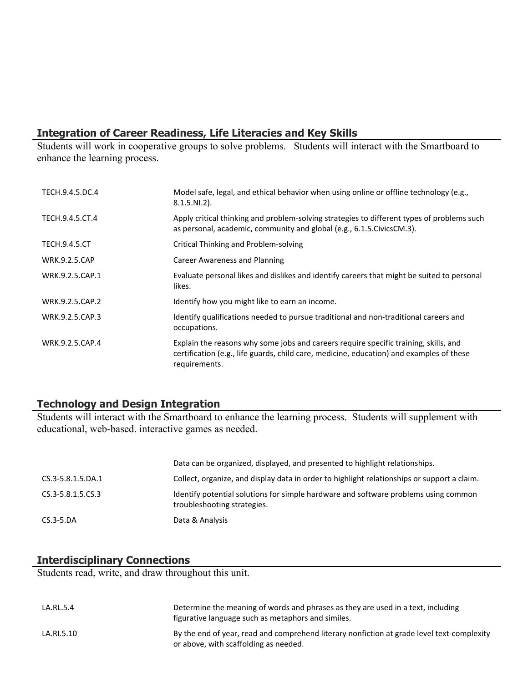# **Integration of Career Readiness, Life Literacies and Key Skills**

Students will work in cooperative groups to solve problems. Students will interact with the Smartboard to enhance the learning process.

| TECH.9.4.5.DC.4      | Model safe, legal, and ethical behavior when using online or offline technology (e.g.,<br>$8.1.5.NI.2$ ).                                                                                         |
|----------------------|---------------------------------------------------------------------------------------------------------------------------------------------------------------------------------------------------|
| TECH.9.4.5.CT.4      | Apply critical thinking and problem-solving strategies to different types of problems such<br>as personal, academic, community and global (e.g., 6.1.5. Civics CM.3).                             |
| <b>TECH.9.4.5.CT</b> | Critical Thinking and Problem-solving                                                                                                                                                             |
| <b>WRK.9.2.5.CAP</b> | Career Awareness and Planning                                                                                                                                                                     |
| WRK.9.2.5.CAP.1      | Evaluate personal likes and dislikes and identify careers that might be suited to personal<br>likes.                                                                                              |
| WRK.9.2.5.CAP.2      | Identify how you might like to earn an income.                                                                                                                                                    |
| WRK.9.2.5.CAP.3      | Identify qualifications needed to pursue traditional and non-traditional careers and<br>occupations.                                                                                              |
| WRK.9.2.5.CAP.4      | Explain the reasons why some jobs and careers require specific training, skills, and<br>certification (e.g., life guards, child care, medicine, education) and examples of these<br>requirements. |

# **Technology and Design Integration**

Students will interact with the Smartboard to enhance the learning process. Students will supplement with educational, web-based. interactive games as needed.

|                   | Data can be organized, displayed, and presented to highlight relationships.                                        |
|-------------------|--------------------------------------------------------------------------------------------------------------------|
| CS.3-5.8.1.5.DA.1 | Collect, organize, and display data in order to highlight relationships or support a claim.                        |
| CS.3-5.8.1.5.CS.3 | Identify potential solutions for simple hardware and software problems using common<br>troubleshooting strategies. |
| $CS.3-5.DA$       | Data & Analysis                                                                                                    |

#### **Interdisciplinary Connections**

Students read, write, and draw throughout this unit.

| LA.RL.5.4  | Determine the meaning of words and phrases as they are used in a text, including<br>figurative language such as metaphors and similes. |
|------------|----------------------------------------------------------------------------------------------------------------------------------------|
| LA.RI.5.10 | By the end of year, read and comprehend literary nonfiction at grade level text-complexity<br>or above, with scaffolding as needed.    |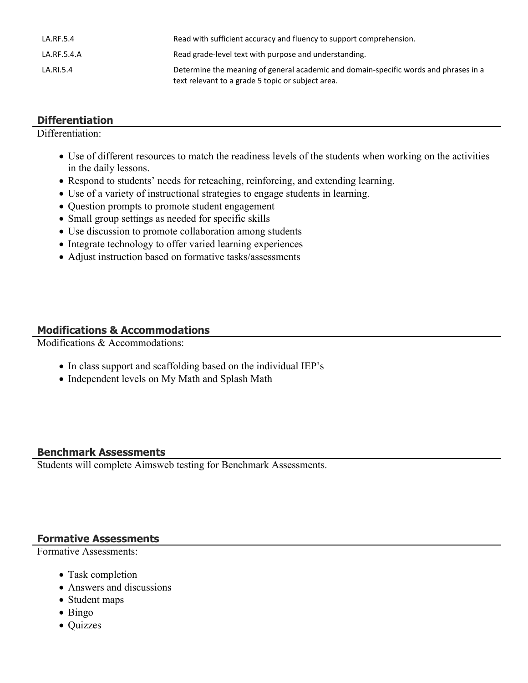| LA.RF.5.4   | Read with sufficient accuracy and fluency to support comprehension.                                                                       |
|-------------|-------------------------------------------------------------------------------------------------------------------------------------------|
| LA.RF.5.4.A | Read grade-level text with purpose and understanding.                                                                                     |
| LA.RI.5.4   | Determine the meaning of general academic and domain-specific words and phrases in a<br>text relevant to a grade 5 topic or subject area. |

## **Differentiation**

Differentiation:

- Use of different resources to match the readiness levels of the students when working on the activities in the daily lessons.
- Respond to students' needs for reteaching, reinforcing, and extending learning.
- Use of a variety of instructional strategies to engage students in learning.
- Question prompts to promote student engagement
- Small group settings as needed for specific skills
- Use discussion to promote collaboration among students
- Integrate technology to offer varied learning experiences
- Adjust instruction based on formative tasks/assessments

#### **Modifications & Accommodations**

Modifications & Accommodations:

- In class support and scaffolding based on the individual IEP's
- Independent levels on My Math and Splash Math

#### **Benchmark Assessments**

Students will complete Aimsweb testing for Benchmark Assessments.

#### **Formative Assessments**

Formative Assessments:

- Task completion
- Answers and discussions
- Student maps
- Bingo
- Quizzes